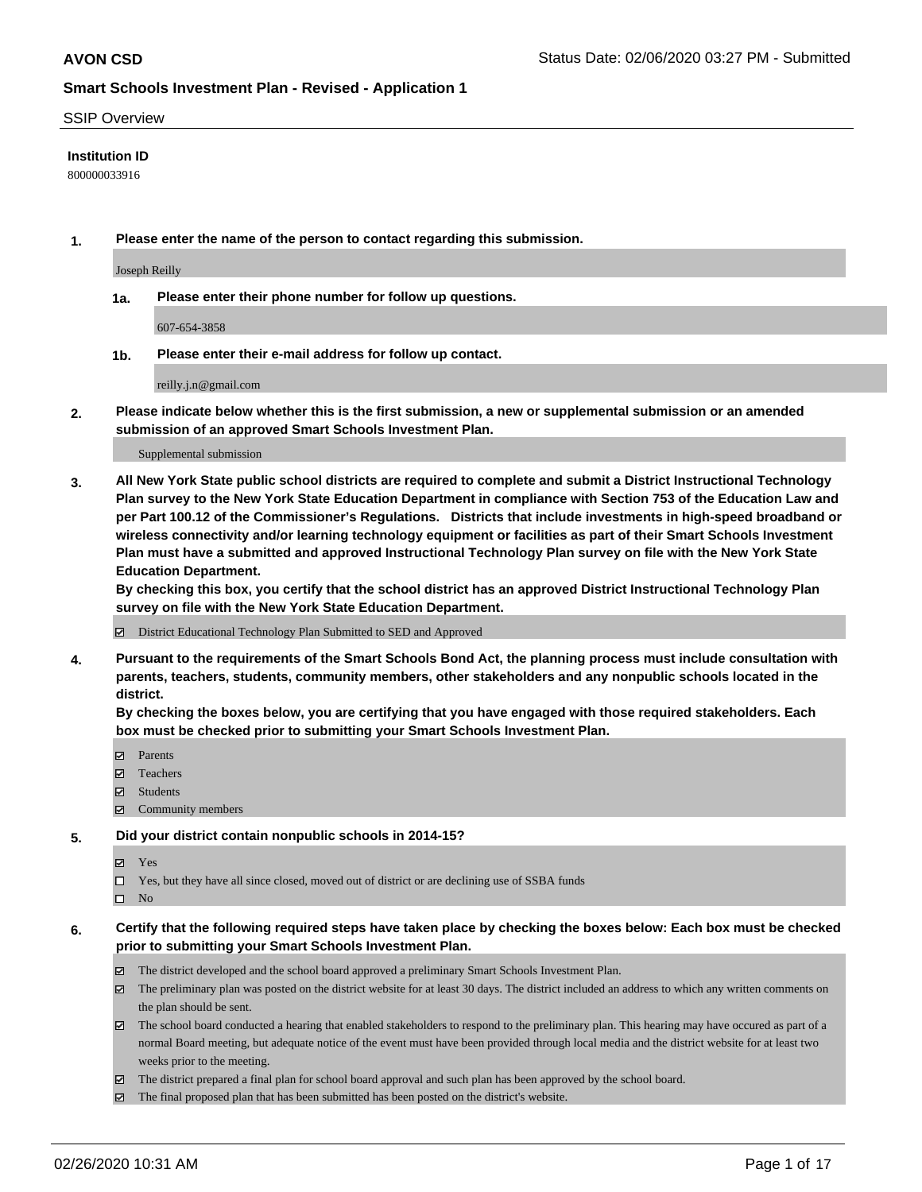#### SSIP Overview

### **Institution ID**

800000033916

**1. Please enter the name of the person to contact regarding this submission.**

Joseph Reilly

**1a. Please enter their phone number for follow up questions.**

607-654-3858

**1b. Please enter their e-mail address for follow up contact.**

reilly.j.n@gmail.com

**2. Please indicate below whether this is the first submission, a new or supplemental submission or an amended submission of an approved Smart Schools Investment Plan.**

#### Supplemental submission

**3. All New York State public school districts are required to complete and submit a District Instructional Technology Plan survey to the New York State Education Department in compliance with Section 753 of the Education Law and per Part 100.12 of the Commissioner's Regulations. Districts that include investments in high-speed broadband or wireless connectivity and/or learning technology equipment or facilities as part of their Smart Schools Investment Plan must have a submitted and approved Instructional Technology Plan survey on file with the New York State Education Department.** 

**By checking this box, you certify that the school district has an approved District Instructional Technology Plan survey on file with the New York State Education Department.**

District Educational Technology Plan Submitted to SED and Approved

**4. Pursuant to the requirements of the Smart Schools Bond Act, the planning process must include consultation with parents, teachers, students, community members, other stakeholders and any nonpublic schools located in the district.** 

**By checking the boxes below, you are certifying that you have engaged with those required stakeholders. Each box must be checked prior to submitting your Smart Schools Investment Plan.**

- **マ** Parents
- Teachers
- Students
- Community members

### **5. Did your district contain nonpublic schools in 2014-15?**

**冈** Yes

Yes, but they have all since closed, moved out of district or are declining use of SSBA funds

 $\square$  No

- **6. Certify that the following required steps have taken place by checking the boxes below: Each box must be checked prior to submitting your Smart Schools Investment Plan.**
	- The district developed and the school board approved a preliminary Smart Schools Investment Plan.
	- $\boxtimes$  The preliminary plan was posted on the district website for at least 30 days. The district included an address to which any written comments on the plan should be sent.
	- $\boxtimes$  The school board conducted a hearing that enabled stakeholders to respond to the preliminary plan. This hearing may have occured as part of a normal Board meeting, but adequate notice of the event must have been provided through local media and the district website for at least two weeks prior to the meeting.
	- The district prepared a final plan for school board approval and such plan has been approved by the school board.
	- $\boxtimes$  The final proposed plan that has been submitted has been posted on the district's website.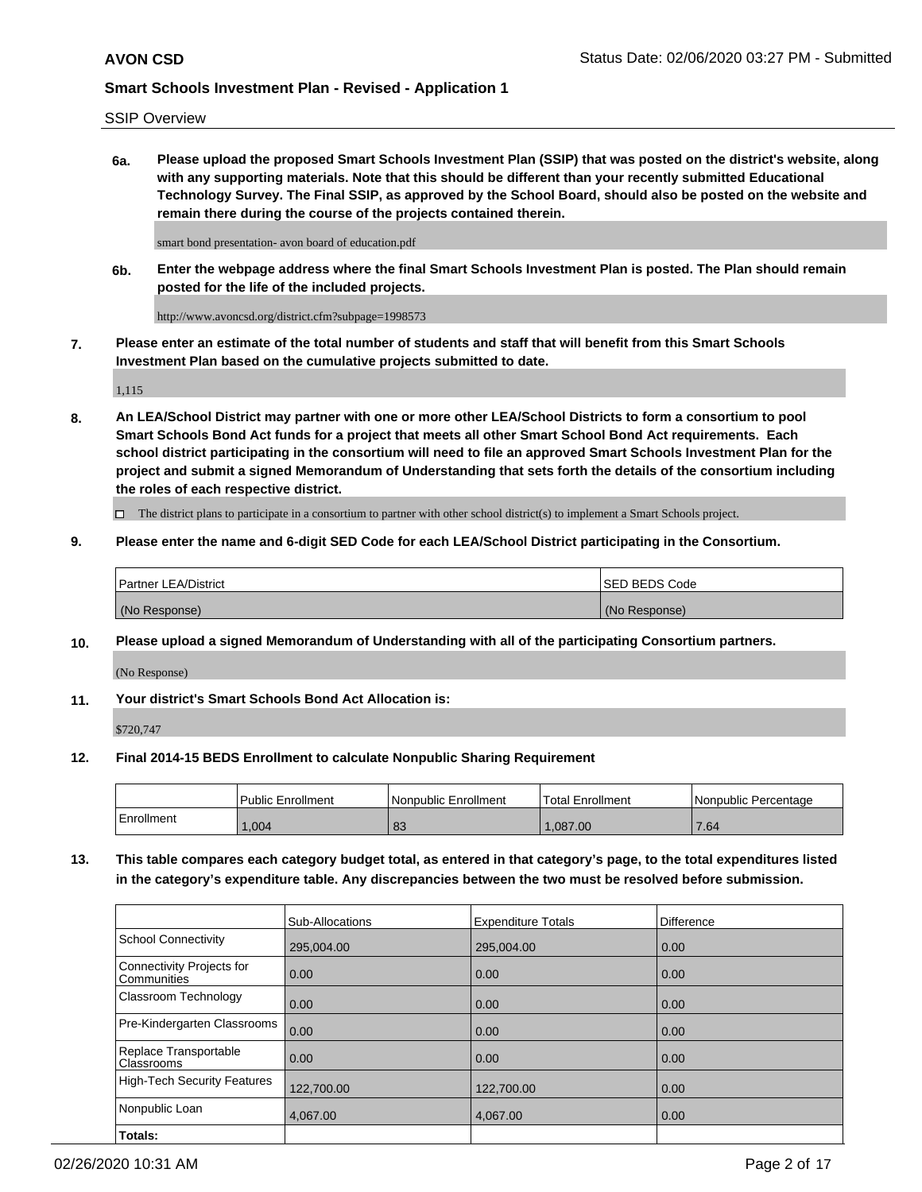SSIP Overview

**6a. Please upload the proposed Smart Schools Investment Plan (SSIP) that was posted on the district's website, along with any supporting materials. Note that this should be different than your recently submitted Educational Technology Survey. The Final SSIP, as approved by the School Board, should also be posted on the website and remain there during the course of the projects contained therein.**

smart bond presentation- avon board of education.pdf

**6b. Enter the webpage address where the final Smart Schools Investment Plan is posted. The Plan should remain posted for the life of the included projects.**

http://www.avoncsd.org/district.cfm?subpage=1998573

**7. Please enter an estimate of the total number of students and staff that will benefit from this Smart Schools Investment Plan based on the cumulative projects submitted to date.**

1,115

**8. An LEA/School District may partner with one or more other LEA/School Districts to form a consortium to pool Smart Schools Bond Act funds for a project that meets all other Smart School Bond Act requirements. Each school district participating in the consortium will need to file an approved Smart Schools Investment Plan for the project and submit a signed Memorandum of Understanding that sets forth the details of the consortium including the roles of each respective district.**

 $\Box$  The district plans to participate in a consortium to partner with other school district(s) to implement a Smart Schools project.

### **9. Please enter the name and 6-digit SED Code for each LEA/School District participating in the Consortium.**

| Partner LEA/District | <b>ISED BEDS Code</b> |
|----------------------|-----------------------|
| (No Response)        | (No Response)         |

### **10. Please upload a signed Memorandum of Understanding with all of the participating Consortium partners.**

(No Response)

**11. Your district's Smart Schools Bond Act Allocation is:**

\$720,747

#### **12. Final 2014-15 BEDS Enrollment to calculate Nonpublic Sharing Requirement**

|            | Public Enrollment | Nonpublic Enrollment | Total Enrollment | I Nonpublic Percentage |
|------------|-------------------|----------------------|------------------|------------------------|
| Enrollment | .004              | 83                   | .087.00          | 7.64                   |

**13. This table compares each category budget total, as entered in that category's page, to the total expenditures listed in the category's expenditure table. Any discrepancies between the two must be resolved before submission.**

|                                          | Sub-Allocations | <b>Expenditure Totals</b> | <b>Difference</b> |
|------------------------------------------|-----------------|---------------------------|-------------------|
| <b>School Connectivity</b>               | 295,004.00      | 295,004.00                | 0.00              |
| Connectivity Projects for<br>Communities | 0.00            | 0.00                      | 0.00              |
| Classroom Technology                     | 0.00            | 0.00                      | 0.00              |
| Pre-Kindergarten Classrooms              | 0.00            | 0.00                      | 0.00              |
| Replace Transportable<br>Classrooms      | 0.00            | 0.00                      | 0.00              |
| High-Tech Security Features              | 122,700.00      | 122,700.00                | 0.00              |
| Nonpublic Loan                           | 4,067.00        | 4.067.00                  | 0.00              |
| Totals:                                  |                 |                           |                   |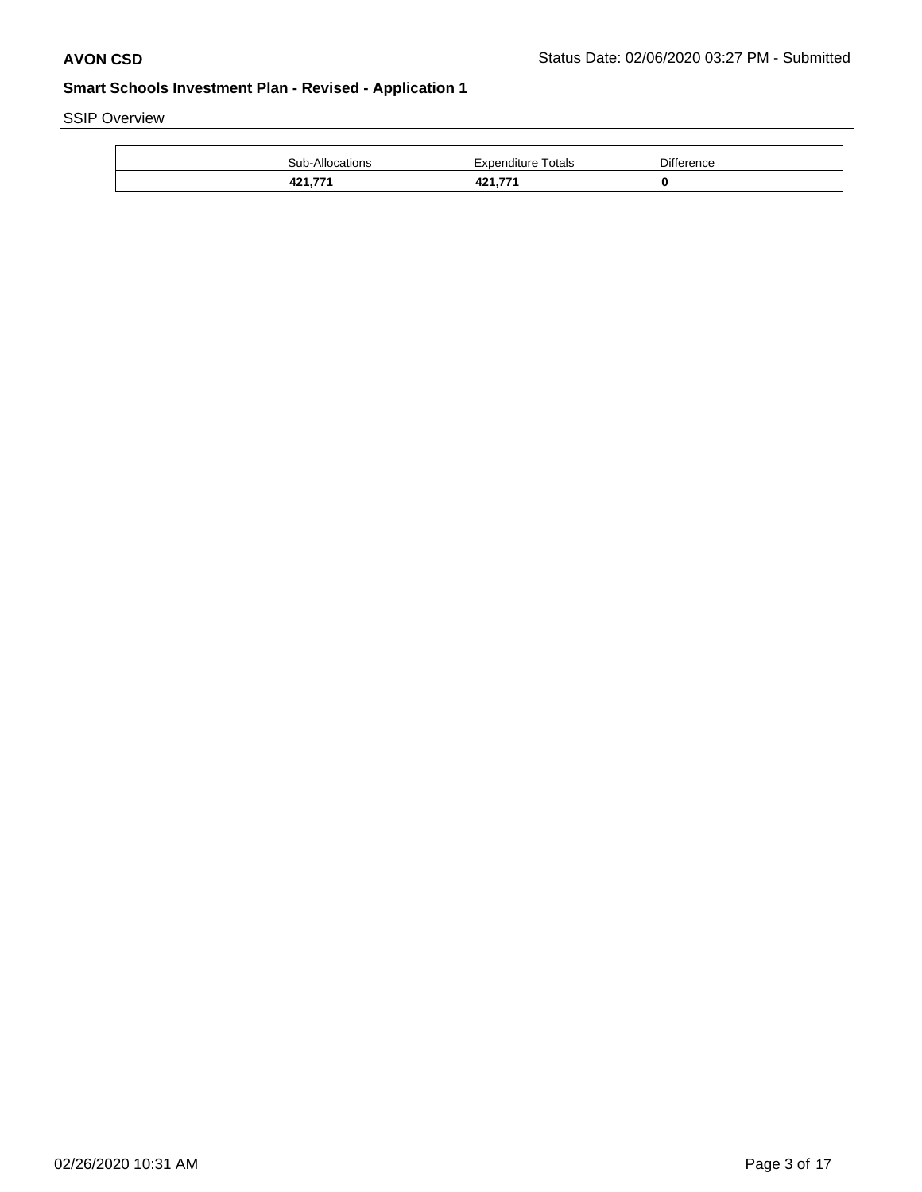SSIP Overview

| <b>Sub-Allocations</b> | Expenditure Totals            | Difference |
|------------------------|-------------------------------|------------|
| 421,771                | A <sub>21</sub> 771<br>74 L.I | 0          |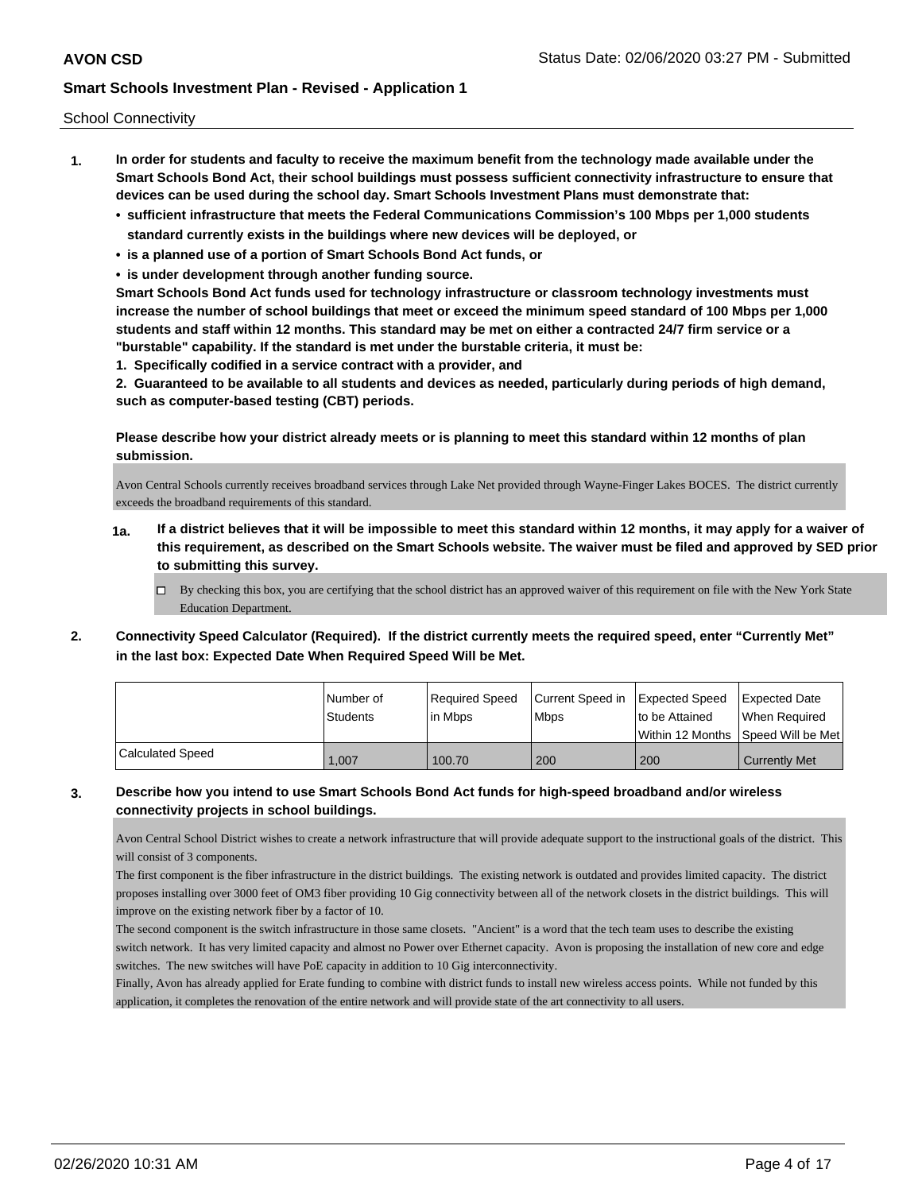School Connectivity

- **1. In order for students and faculty to receive the maximum benefit from the technology made available under the Smart Schools Bond Act, their school buildings must possess sufficient connectivity infrastructure to ensure that devices can be used during the school day. Smart Schools Investment Plans must demonstrate that:**
	- **• sufficient infrastructure that meets the Federal Communications Commission's 100 Mbps per 1,000 students standard currently exists in the buildings where new devices will be deployed, or**
	- **• is a planned use of a portion of Smart Schools Bond Act funds, or**
	- **• is under development through another funding source.**

**Smart Schools Bond Act funds used for technology infrastructure or classroom technology investments must increase the number of school buildings that meet or exceed the minimum speed standard of 100 Mbps per 1,000 students and staff within 12 months. This standard may be met on either a contracted 24/7 firm service or a "burstable" capability. If the standard is met under the burstable criteria, it must be:**

**1. Specifically codified in a service contract with a provider, and**

**2. Guaranteed to be available to all students and devices as needed, particularly during periods of high demand, such as computer-based testing (CBT) periods.**

**Please describe how your district already meets or is planning to meet this standard within 12 months of plan submission.**

Avon Central Schools currently receives broadband services through Lake Net provided through Wayne-Finger Lakes BOCES. The district currently exceeds the broadband requirements of this standard.

- **1a. If a district believes that it will be impossible to meet this standard within 12 months, it may apply for a waiver of this requirement, as described on the Smart Schools website. The waiver must be filed and approved by SED prior to submitting this survey.**
	- $\Box$  By checking this box, you are certifying that the school district has an approved waiver of this requirement on file with the New York State Education Department.
- **2. Connectivity Speed Calculator (Required). If the district currently meets the required speed, enter "Currently Met" in the last box: Expected Date When Required Speed Will be Met.**

|                  | l Number of<br>Students | Required Speed<br>In Mbps | Current Speed in Expected Speed<br><b>Mbps</b> | Ito be Attained | <b>Expected Date</b><br>When Required<br>Within 12 Months 1Speed Will be Met1 |
|------------------|-------------------------|---------------------------|------------------------------------------------|-----------------|-------------------------------------------------------------------------------|
| Calculated Speed | 1,007                   | 100.70                    | 200                                            | 200             | <b>Currently Met</b>                                                          |

### **3. Describe how you intend to use Smart Schools Bond Act funds for high-speed broadband and/or wireless connectivity projects in school buildings.**

Avon Central School District wishes to create a network infrastructure that will provide adequate support to the instructional goals of the district. This will consist of 3 components.

The first component is the fiber infrastructure in the district buildings. The existing network is outdated and provides limited capacity. The district proposes installing over 3000 feet of OM3 fiber providing 10 Gig connectivity between all of the network closets in the district buildings. This will improve on the existing network fiber by a factor of 10.

The second component is the switch infrastructure in those same closets. "Ancient" is a word that the tech team uses to describe the existing switch network. It has very limited capacity and almost no Power over Ethernet capacity. Avon is proposing the installation of new core and edge switches. The new switches will have PoE capacity in addition to 10 Gig interconnectivity.

Finally, Avon has already applied for Erate funding to combine with district funds to install new wireless access points. While not funded by this application, it completes the renovation of the entire network and will provide state of the art connectivity to all users.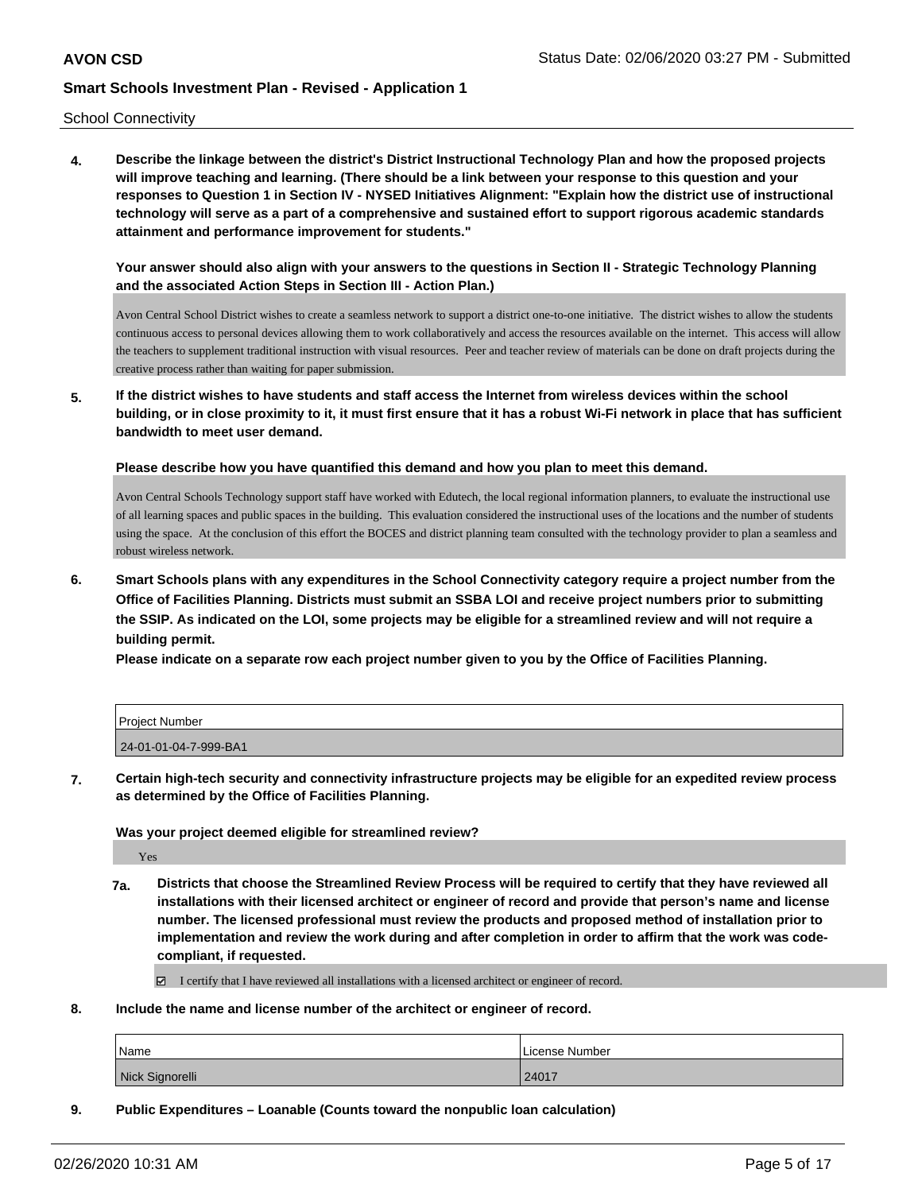School Connectivity

**4. Describe the linkage between the district's District Instructional Technology Plan and how the proposed projects will improve teaching and learning. (There should be a link between your response to this question and your responses to Question 1 in Section IV - NYSED Initiatives Alignment: "Explain how the district use of instructional technology will serve as a part of a comprehensive and sustained effort to support rigorous academic standards attainment and performance improvement for students."** 

**Your answer should also align with your answers to the questions in Section II - Strategic Technology Planning and the associated Action Steps in Section III - Action Plan.)**

Avon Central School District wishes to create a seamless network to support a district one-to-one initiative. The district wishes to allow the students continuous access to personal devices allowing them to work collaboratively and access the resources available on the internet. This access will allow the teachers to supplement traditional instruction with visual resources. Peer and teacher review of materials can be done on draft projects during the creative process rather than waiting for paper submission.

**5. If the district wishes to have students and staff access the Internet from wireless devices within the school building, or in close proximity to it, it must first ensure that it has a robust Wi-Fi network in place that has sufficient bandwidth to meet user demand.**

**Please describe how you have quantified this demand and how you plan to meet this demand.**

Avon Central Schools Technology support staff have worked with Edutech, the local regional information planners, to evaluate the instructional use of all learning spaces and public spaces in the building. This evaluation considered the instructional uses of the locations and the number of students using the space. At the conclusion of this effort the BOCES and district planning team consulted with the technology provider to plan a seamless and robust wireless network.

**6. Smart Schools plans with any expenditures in the School Connectivity category require a project number from the Office of Facilities Planning. Districts must submit an SSBA LOI and receive project numbers prior to submitting the SSIP. As indicated on the LOI, some projects may be eligible for a streamlined review and will not require a building permit.**

**Please indicate on a separate row each project number given to you by the Office of Facilities Planning.**

| l Proiect Number      |  |
|-----------------------|--|
| 24-01-01-04-7-999-BA1 |  |

**7. Certain high-tech security and connectivity infrastructure projects may be eligible for an expedited review process as determined by the Office of Facilities Planning.**

#### **Was your project deemed eligible for streamlined review?**

Yes

**7a. Districts that choose the Streamlined Review Process will be required to certify that they have reviewed all installations with their licensed architect or engineer of record and provide that person's name and license number. The licensed professional must review the products and proposed method of installation prior to implementation and review the work during and after completion in order to affirm that the work was codecompliant, if requested.**

I certify that I have reviewed all installations with a licensed architect or engineer of record.

**8. Include the name and license number of the architect or engineer of record.**

| Name            | License Number |
|-----------------|----------------|
| Nick Signorelli | 24017          |

**9. Public Expenditures – Loanable (Counts toward the nonpublic loan calculation)**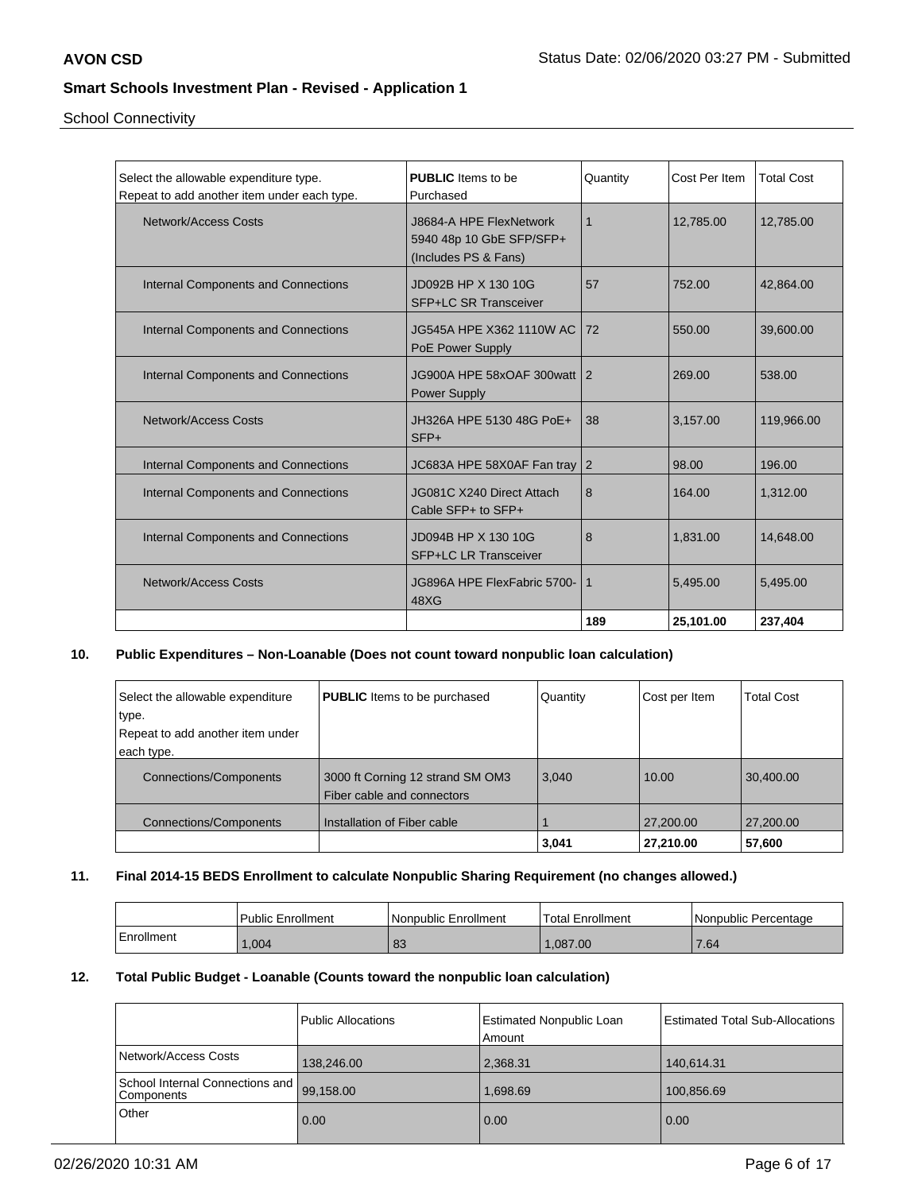School Connectivity

| Select the allowable expenditure type.<br>Repeat to add another item under each type. | <b>PUBLIC</b> Items to be<br>Purchased                                      | Quantity       | Cost Per Item | <b>Total Cost</b> |
|---------------------------------------------------------------------------------------|-----------------------------------------------------------------------------|----------------|---------------|-------------------|
| Network/Access Costs                                                                  | J8684-A HPE FlexNetwork<br>5940 48p 10 GbE SFP/SFP+<br>(Includes PS & Fans) | $\mathbf 1$    | 12,785.00     | 12,785.00         |
| Internal Components and Connections                                                   | JD092B HP X 130 10G<br><b>SFP+LC SR Transceiver</b>                         | 57             | 752.00        | 42,864.00         |
| Internal Components and Connections                                                   | JG545A HPE X362 1110W AC I<br>PoE Power Supply                              | 72             | 550.00        | 39,600.00         |
| Internal Components and Connections                                                   | JG900A HPE 58xOAF 300watt   2<br><b>Power Supply</b>                        |                | 269.00        | 538.00            |
| Network/Access Costs                                                                  | JH326A HPE 5130 48G PoE+<br>$SFP+$                                          | 38             | 3,157.00      | 119,966.00        |
| Internal Components and Connections                                                   | JC683A HPE 58X0AF Fan tray                                                  | $\overline{2}$ | 98.00         | 196.00            |
| <b>Internal Components and Connections</b>                                            | JG081C X240 Direct Attach<br>Cable SFP+ to SFP+                             | 8              | 164.00        | 1,312.00          |
| Internal Components and Connections                                                   | JD094B HP X 130 10G<br><b>SFP+LC LR Transceiver</b>                         | 8              | 1,831.00      | 14,648.00         |
| Network/Access Costs                                                                  | JG896A HPE FlexFabric 5700-<br>48XG                                         | 1              | 5,495.00      | 5,495.00          |
|                                                                                       |                                                                             | 189            | 25,101.00     | 237,404           |

## **10. Public Expenditures – Non-Loanable (Does not count toward nonpublic loan calculation)**

| Select the allowable expenditure | <b>PUBLIC</b> Items to be purchased | Quantity | Cost per Item | <b>Total Cost</b> |
|----------------------------------|-------------------------------------|----------|---------------|-------------------|
|                                  |                                     |          |               |                   |
| type.                            |                                     |          |               |                   |
| Repeat to add another item under |                                     |          |               |                   |
| each type.                       |                                     |          |               |                   |
| <b>Connections/Components</b>    | 3000 ft Corning 12 strand SM OM3    | 3,040    | 10.00         | 30,400.00         |
|                                  | Fiber cable and connectors          |          |               |                   |
| <b>Connections/Components</b>    | Installation of Fiber cable         |          | 27,200.00     | 27,200.00         |
|                                  |                                     | 3,041    | 27,210.00     | 57,600            |

## **11. Final 2014-15 BEDS Enrollment to calculate Nonpublic Sharing Requirement (no changes allowed.)**

|            | <b>Public Enrollment</b> | l Nonpublic Enrollment | Total Enrollment | Nonpublic Percentage |
|------------|--------------------------|------------------------|------------------|----------------------|
| Enrollment | ,004                     | $\Omega$<br>oJ         | .087.00          | 7.64                 |

# **12. Total Public Budget - Loanable (Counts toward the nonpublic loan calculation)**

|                                                         | Public Allocations | Estimated Nonpublic Loan<br>Amount | Estimated Total Sub-Allocations |
|---------------------------------------------------------|--------------------|------------------------------------|---------------------------------|
| Network/Access Costs                                    | 138,246.00         | 2,368.31                           | 140,614.31                      |
| School Internal Connections and 99,158.00<br>Components |                    | 1,698.69                           | 100,856.69                      |
| Other                                                   | 0.00               | 0.00                               | 0.00                            |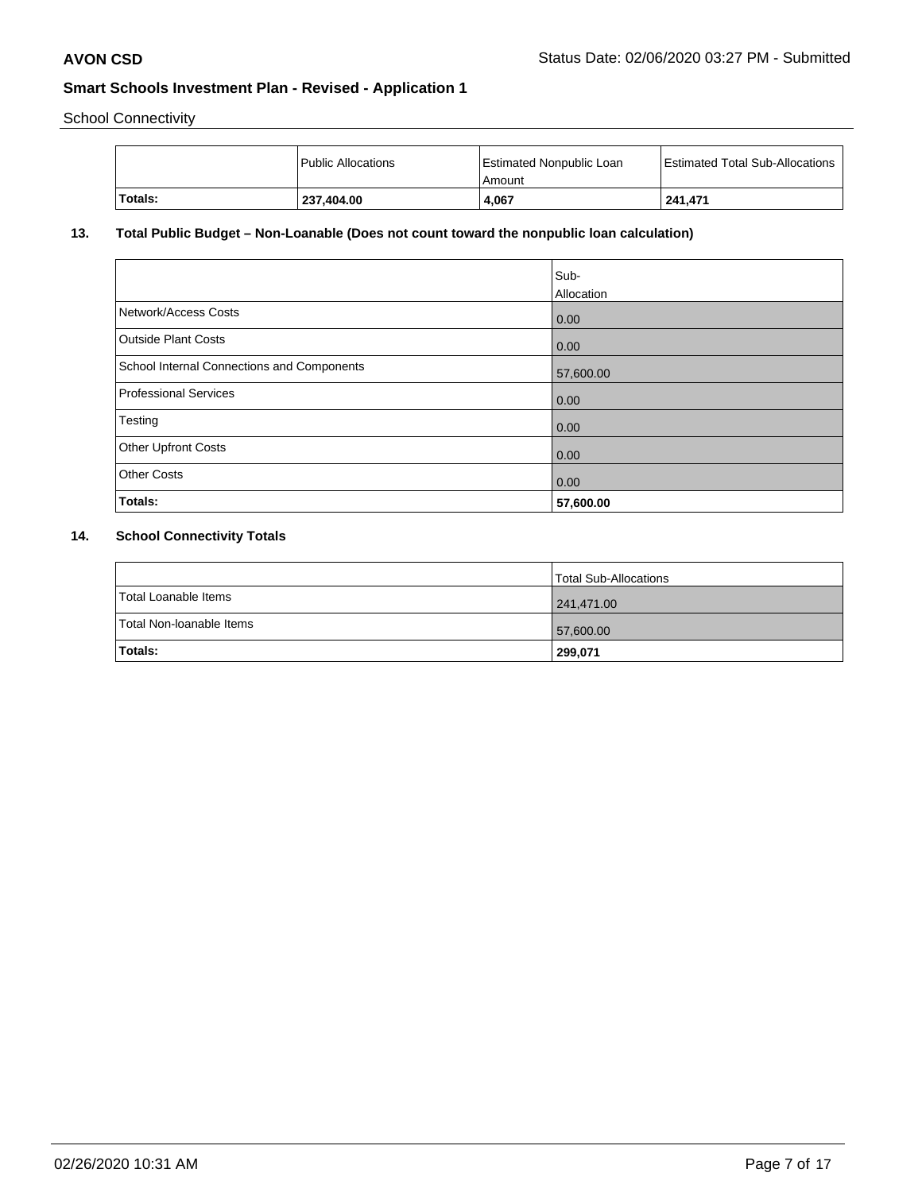School Connectivity

|          | <sup>1</sup> Public Allocations | <b>Estimated Nonpublic Loan</b><br>l Amount | Estimated Total Sub-Allocations |
|----------|---------------------------------|---------------------------------------------|---------------------------------|
| 'Totals: | 237,404.00                      | 4.067                                       | 241.471                         |

# **13. Total Public Budget – Non-Loanable (Does not count toward the nonpublic loan calculation)**

| Testing<br><b>Other Upfront Costs</b>      | 0.00                      |
|--------------------------------------------|---------------------------|
| Professional Services                      | 0.00                      |
| School Internal Connections and Components | 57,600.00                 |
| <b>Outside Plant Costs</b>                 | 0.00                      |
| Network/Access Costs                       | 0.00                      |
|                                            | Sub-<br><b>Allocation</b> |
|                                            |                           |

### **14. School Connectivity Totals**

|                          | Total Sub-Allocations |
|--------------------------|-----------------------|
| Total Loanable Items     | 241,471.00            |
| Total Non-Ioanable Items | 57,600.00             |
| <b>Totals:</b>           | 299,071               |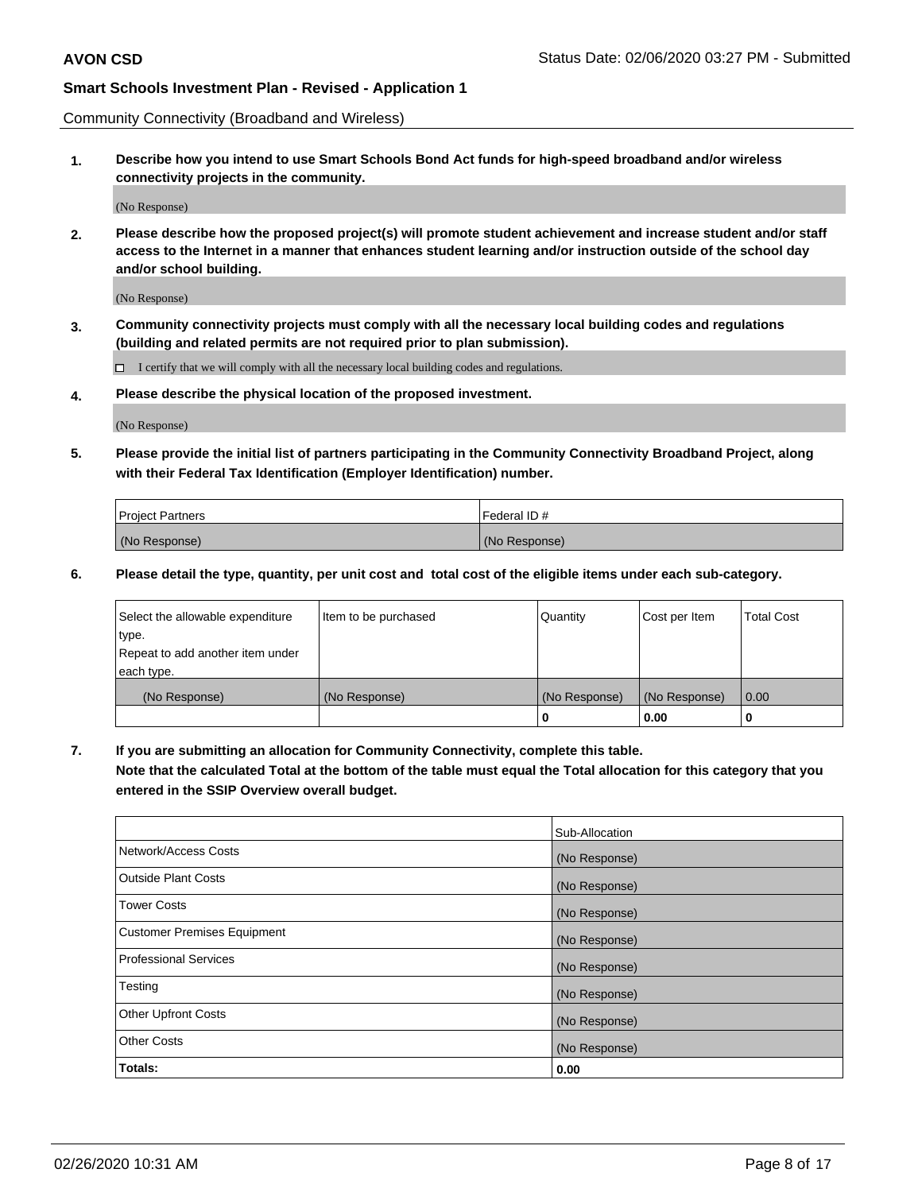Community Connectivity (Broadband and Wireless)

**1. Describe how you intend to use Smart Schools Bond Act funds for high-speed broadband and/or wireless connectivity projects in the community.**

(No Response)

**2. Please describe how the proposed project(s) will promote student achievement and increase student and/or staff access to the Internet in a manner that enhances student learning and/or instruction outside of the school day and/or school building.**

(No Response)

**3. Community connectivity projects must comply with all the necessary local building codes and regulations (building and related permits are not required prior to plan submission).**

 $\Box$  I certify that we will comply with all the necessary local building codes and regulations.

**4. Please describe the physical location of the proposed investment.**

(No Response)

**5. Please provide the initial list of partners participating in the Community Connectivity Broadband Project, along with their Federal Tax Identification (Employer Identification) number.**

| <b>Project Partners</b> | l Federal ID # |
|-------------------------|----------------|
| (No Response)           | (No Response)  |

**6. Please detail the type, quantity, per unit cost and total cost of the eligible items under each sub-category.**

| Select the allowable expenditure | Item to be purchased | Quantity      | Cost per Item | <b>Total Cost</b> |
|----------------------------------|----------------------|---------------|---------------|-------------------|
| type.                            |                      |               |               |                   |
| Repeat to add another item under |                      |               |               |                   |
| each type.                       |                      |               |               |                   |
| (No Response)                    | (No Response)        | (No Response) | (No Response) | 0.00              |
|                                  |                      | U             | 0.00          | -0                |

**7. If you are submitting an allocation for Community Connectivity, complete this table.**

**Note that the calculated Total at the bottom of the table must equal the Total allocation for this category that you entered in the SSIP Overview overall budget.**

|                                    | Sub-Allocation |
|------------------------------------|----------------|
| Network/Access Costs               | (No Response)  |
| Outside Plant Costs                | (No Response)  |
| <b>Tower Costs</b>                 | (No Response)  |
| <b>Customer Premises Equipment</b> | (No Response)  |
| <b>Professional Services</b>       | (No Response)  |
| Testing                            | (No Response)  |
| <b>Other Upfront Costs</b>         | (No Response)  |
| <b>Other Costs</b>                 | (No Response)  |
| Totals:                            | 0.00           |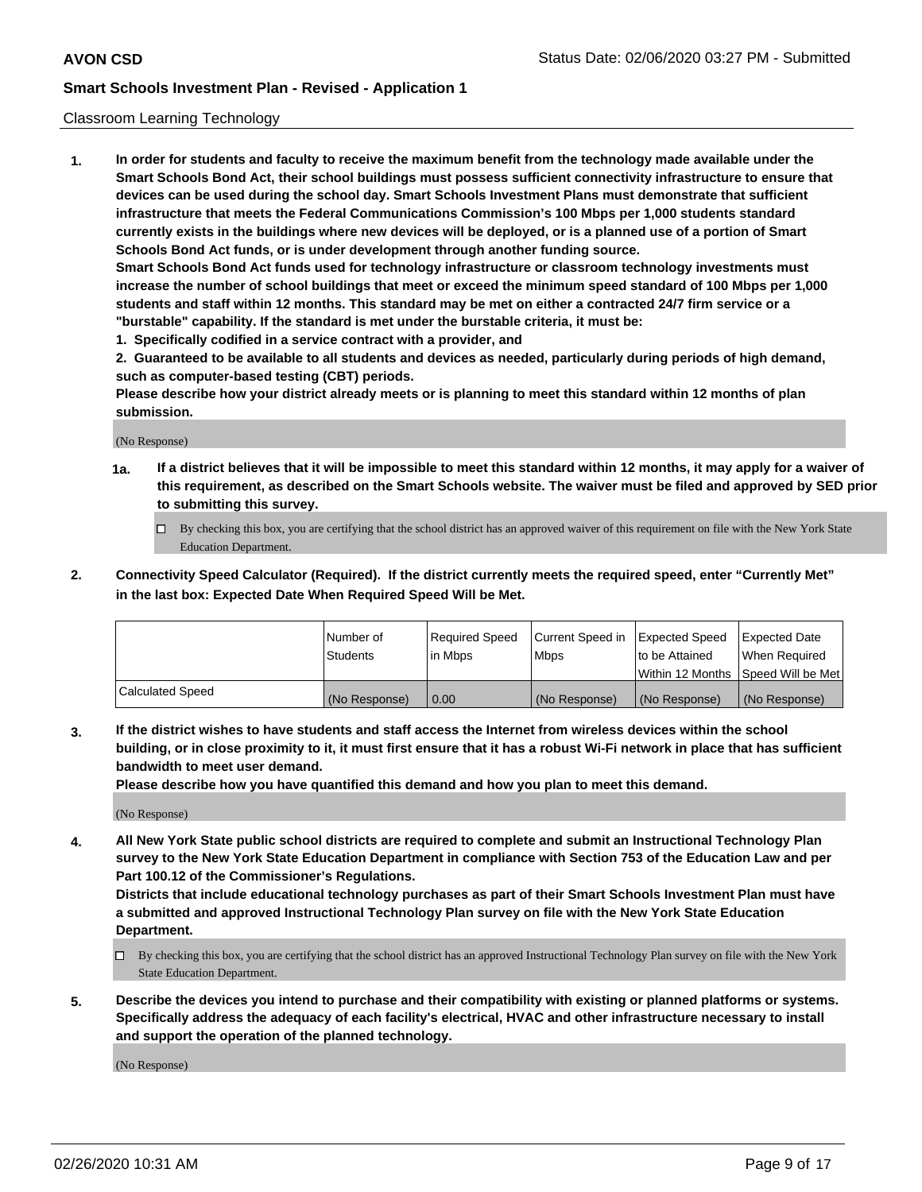#### Classroom Learning Technology

**1. In order for students and faculty to receive the maximum benefit from the technology made available under the Smart Schools Bond Act, their school buildings must possess sufficient connectivity infrastructure to ensure that devices can be used during the school day. Smart Schools Investment Plans must demonstrate that sufficient infrastructure that meets the Federal Communications Commission's 100 Mbps per 1,000 students standard currently exists in the buildings where new devices will be deployed, or is a planned use of a portion of Smart Schools Bond Act funds, or is under development through another funding source. Smart Schools Bond Act funds used for technology infrastructure or classroom technology investments must increase the number of school buildings that meet or exceed the minimum speed standard of 100 Mbps per 1,000 students and staff within 12 months. This standard may be met on either a contracted 24/7 firm service or a "burstable" capability. If the standard is met under the burstable criteria, it must be:**

**1. Specifically codified in a service contract with a provider, and**

**2. Guaranteed to be available to all students and devices as needed, particularly during periods of high demand, such as computer-based testing (CBT) periods.**

**Please describe how your district already meets or is planning to meet this standard within 12 months of plan submission.**

(No Response)

- **1a. If a district believes that it will be impossible to meet this standard within 12 months, it may apply for a waiver of this requirement, as described on the Smart Schools website. The waiver must be filed and approved by SED prior to submitting this survey.**
	- By checking this box, you are certifying that the school district has an approved waiver of this requirement on file with the New York State Education Department.
- **2. Connectivity Speed Calculator (Required). If the district currently meets the required speed, enter "Currently Met" in the last box: Expected Date When Required Speed Will be Met.**

|                  | l Number of     | Required Speed | Current Speed in | <b>Expected Speed</b> | <b>Expected Date</b>                |
|------------------|-----------------|----------------|------------------|-----------------------|-------------------------------------|
|                  | <b>Students</b> | l in Mbps      | l Mbps           | to be Attained        | When Required                       |
|                  |                 |                |                  |                       | Within 12 Months  Speed Will be Met |
| Calculated Speed | (No Response)   | 0.00           | (No Response)    | l (No Response)       | (No Response)                       |

**3. If the district wishes to have students and staff access the Internet from wireless devices within the school building, or in close proximity to it, it must first ensure that it has a robust Wi-Fi network in place that has sufficient bandwidth to meet user demand.**

**Please describe how you have quantified this demand and how you plan to meet this demand.**

(No Response)

**4. All New York State public school districts are required to complete and submit an Instructional Technology Plan survey to the New York State Education Department in compliance with Section 753 of the Education Law and per Part 100.12 of the Commissioner's Regulations.**

**Districts that include educational technology purchases as part of their Smart Schools Investment Plan must have a submitted and approved Instructional Technology Plan survey on file with the New York State Education Department.**

- By checking this box, you are certifying that the school district has an approved Instructional Technology Plan survey on file with the New York State Education Department.
- **5. Describe the devices you intend to purchase and their compatibility with existing or planned platforms or systems. Specifically address the adequacy of each facility's electrical, HVAC and other infrastructure necessary to install and support the operation of the planned technology.**

(No Response)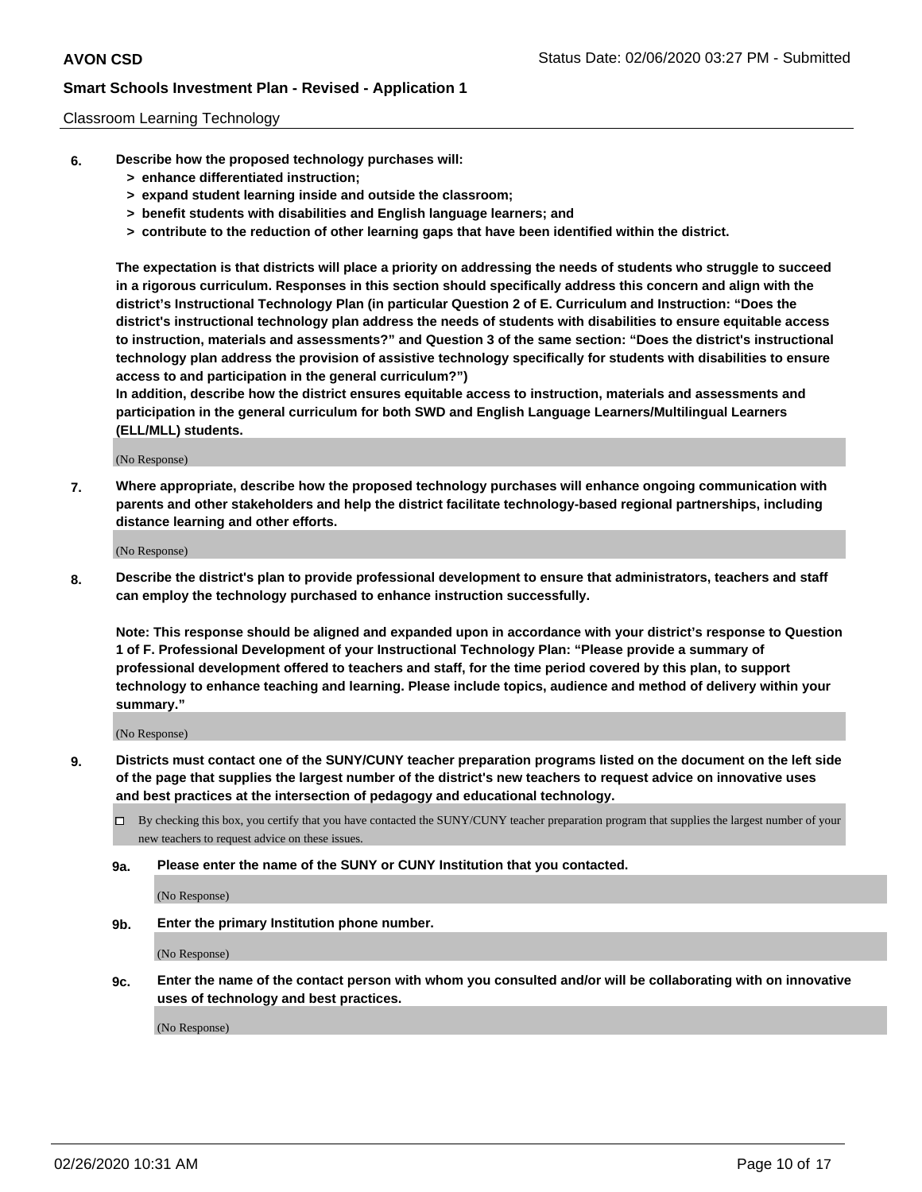#### Classroom Learning Technology

- **6. Describe how the proposed technology purchases will:**
	- **> enhance differentiated instruction;**
	- **> expand student learning inside and outside the classroom;**
	- **> benefit students with disabilities and English language learners; and**
	- **> contribute to the reduction of other learning gaps that have been identified within the district.**

**The expectation is that districts will place a priority on addressing the needs of students who struggle to succeed in a rigorous curriculum. Responses in this section should specifically address this concern and align with the district's Instructional Technology Plan (in particular Question 2 of E. Curriculum and Instruction: "Does the district's instructional technology plan address the needs of students with disabilities to ensure equitable access to instruction, materials and assessments?" and Question 3 of the same section: "Does the district's instructional technology plan address the provision of assistive technology specifically for students with disabilities to ensure access to and participation in the general curriculum?")**

**In addition, describe how the district ensures equitable access to instruction, materials and assessments and participation in the general curriculum for both SWD and English Language Learners/Multilingual Learners (ELL/MLL) students.**

(No Response)

**7. Where appropriate, describe how the proposed technology purchases will enhance ongoing communication with parents and other stakeholders and help the district facilitate technology-based regional partnerships, including distance learning and other efforts.**

(No Response)

**8. Describe the district's plan to provide professional development to ensure that administrators, teachers and staff can employ the technology purchased to enhance instruction successfully.**

**Note: This response should be aligned and expanded upon in accordance with your district's response to Question 1 of F. Professional Development of your Instructional Technology Plan: "Please provide a summary of professional development offered to teachers and staff, for the time period covered by this plan, to support technology to enhance teaching and learning. Please include topics, audience and method of delivery within your summary."**

(No Response)

- **9. Districts must contact one of the SUNY/CUNY teacher preparation programs listed on the document on the left side of the page that supplies the largest number of the district's new teachers to request advice on innovative uses and best practices at the intersection of pedagogy and educational technology.**
	- By checking this box, you certify that you have contacted the SUNY/CUNY teacher preparation program that supplies the largest number of your new teachers to request advice on these issues.
	- **9a. Please enter the name of the SUNY or CUNY Institution that you contacted.**

(No Response)

**9b. Enter the primary Institution phone number.**

(No Response)

**9c. Enter the name of the contact person with whom you consulted and/or will be collaborating with on innovative uses of technology and best practices.**

(No Response)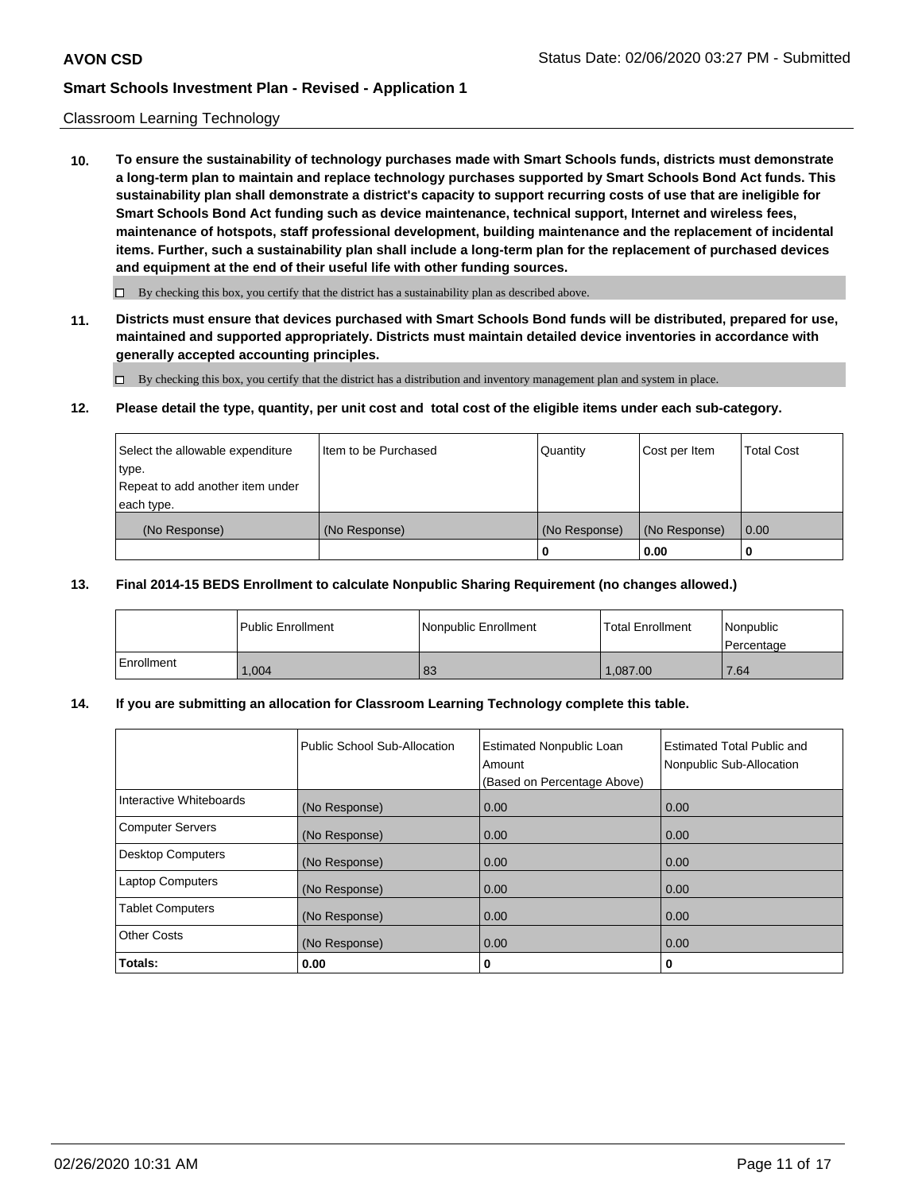#### Classroom Learning Technology

**10. To ensure the sustainability of technology purchases made with Smart Schools funds, districts must demonstrate a long-term plan to maintain and replace technology purchases supported by Smart Schools Bond Act funds. This sustainability plan shall demonstrate a district's capacity to support recurring costs of use that are ineligible for Smart Schools Bond Act funding such as device maintenance, technical support, Internet and wireless fees, maintenance of hotspots, staff professional development, building maintenance and the replacement of incidental items. Further, such a sustainability plan shall include a long-term plan for the replacement of purchased devices and equipment at the end of their useful life with other funding sources.**

 $\Box$  By checking this box, you certify that the district has a sustainability plan as described above.

**11. Districts must ensure that devices purchased with Smart Schools Bond funds will be distributed, prepared for use, maintained and supported appropriately. Districts must maintain detailed device inventories in accordance with generally accepted accounting principles.**

By checking this box, you certify that the district has a distribution and inventory management plan and system in place.

#### **12. Please detail the type, quantity, per unit cost and total cost of the eligible items under each sub-category.**

| Select the allowable expenditure<br>type.<br>Repeat to add another item under | Item to be Purchased | Quantity      | Cost per Item | <b>Total Cost</b> |
|-------------------------------------------------------------------------------|----------------------|---------------|---------------|-------------------|
| each type.<br>(No Response)                                                   | (No Response)        | (No Response) | (No Response) | 0.00              |
|                                                                               |                      | 0             | 0.00          |                   |

#### **13. Final 2014-15 BEDS Enrollment to calculate Nonpublic Sharing Requirement (no changes allowed.)**

|            | l Public Enrollment | <b>INonpublic Enrollment</b> | <b>Total Enrollment</b> | Nonpublic<br>l Percentage |
|------------|---------------------|------------------------------|-------------------------|---------------------------|
| Enrollment | .004                | 83                           | 1.087.00                | 17.64                     |

### **14. If you are submitting an allocation for Classroom Learning Technology complete this table.**

|                         | Public School Sub-Allocation | <b>Estimated Nonpublic Loan</b><br>Amount<br>(Based on Percentage Above) | Estimated Total Public and<br>Nonpublic Sub-Allocation |
|-------------------------|------------------------------|--------------------------------------------------------------------------|--------------------------------------------------------|
| Interactive Whiteboards | (No Response)                | 0.00                                                                     | 0.00                                                   |
| Computer Servers        | (No Response)                | 0.00                                                                     | 0.00                                                   |
| Desktop Computers       | (No Response)                | 0.00                                                                     | 0.00                                                   |
| <b>Laptop Computers</b> | (No Response)                | 0.00                                                                     | 0.00                                                   |
| <b>Tablet Computers</b> | (No Response)                | 0.00                                                                     | 0.00                                                   |
| Other Costs             | (No Response)                | 0.00                                                                     | 0.00                                                   |
| Totals:                 | 0.00                         | 0                                                                        | 0                                                      |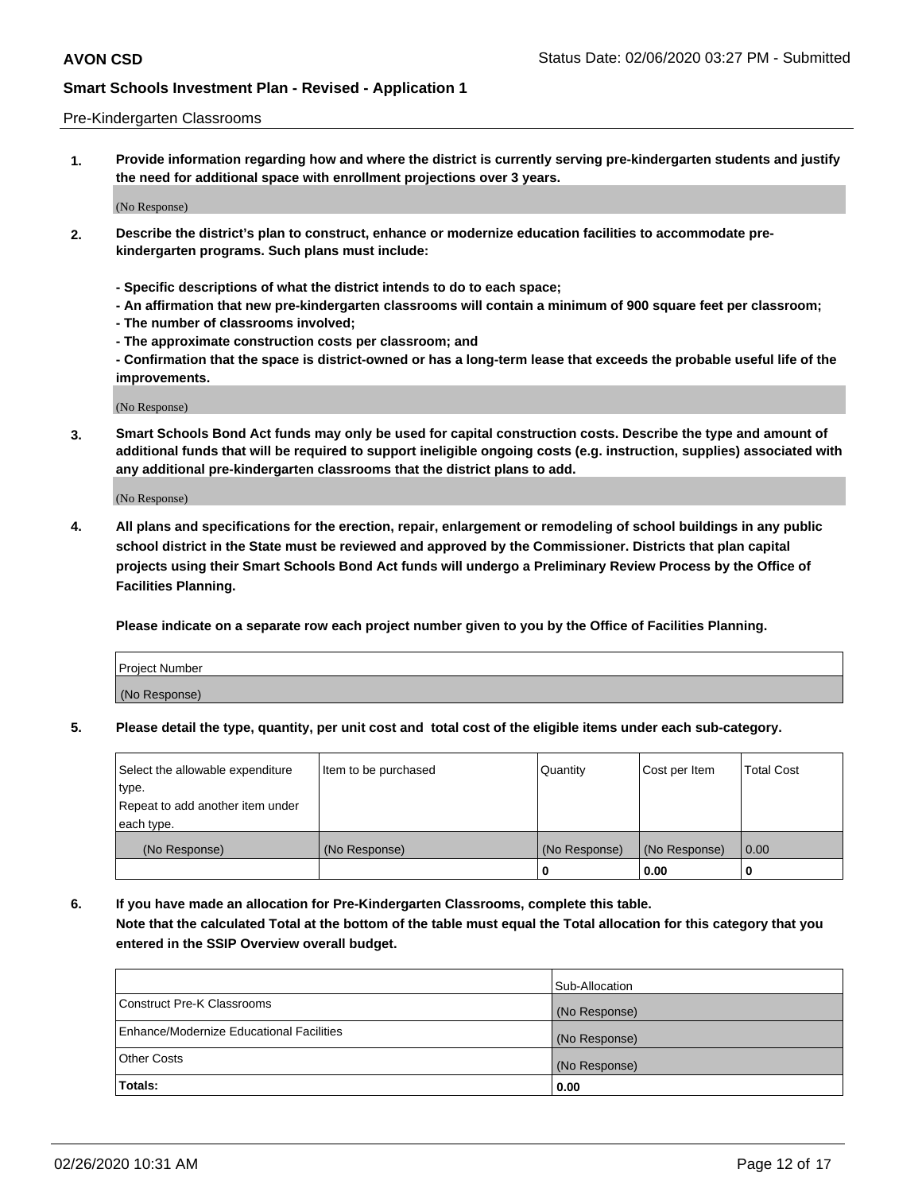#### Pre-Kindergarten Classrooms

**1. Provide information regarding how and where the district is currently serving pre-kindergarten students and justify the need for additional space with enrollment projections over 3 years.**

(No Response)

- **2. Describe the district's plan to construct, enhance or modernize education facilities to accommodate prekindergarten programs. Such plans must include:**
	- **Specific descriptions of what the district intends to do to each space;**
	- **An affirmation that new pre-kindergarten classrooms will contain a minimum of 900 square feet per classroom;**
	- **The number of classrooms involved;**
	- **The approximate construction costs per classroom; and**
	- **Confirmation that the space is district-owned or has a long-term lease that exceeds the probable useful life of the improvements.**

(No Response)

**3. Smart Schools Bond Act funds may only be used for capital construction costs. Describe the type and amount of additional funds that will be required to support ineligible ongoing costs (e.g. instruction, supplies) associated with any additional pre-kindergarten classrooms that the district plans to add.**

(No Response)

**4. All plans and specifications for the erection, repair, enlargement or remodeling of school buildings in any public school district in the State must be reviewed and approved by the Commissioner. Districts that plan capital projects using their Smart Schools Bond Act funds will undergo a Preliminary Review Process by the Office of Facilities Planning.**

**Please indicate on a separate row each project number given to you by the Office of Facilities Planning.**

| Project Number |  |
|----------------|--|
| (No Response)  |  |
|                |  |

**5. Please detail the type, quantity, per unit cost and total cost of the eligible items under each sub-category.**

| Select the allowable expenditure | Item to be purchased | Quantity      | Cost per Item | <b>Total Cost</b> |
|----------------------------------|----------------------|---------------|---------------|-------------------|
| type.                            |                      |               |               |                   |
| Repeat to add another item under |                      |               |               |                   |
| each type.                       |                      |               |               |                   |
| (No Response)                    | (No Response)        | (No Response) | (No Response) | 0.00              |
|                                  |                      | υ             | 0.00          |                   |

**6. If you have made an allocation for Pre-Kindergarten Classrooms, complete this table. Note that the calculated Total at the bottom of the table must equal the Total allocation for this category that you entered in the SSIP Overview overall budget.**

|                                          | Sub-Allocation |
|------------------------------------------|----------------|
| Construct Pre-K Classrooms               | (No Response)  |
| Enhance/Modernize Educational Facilities | (No Response)  |
| <b>Other Costs</b>                       | (No Response)  |
| Totals:                                  | 0.00           |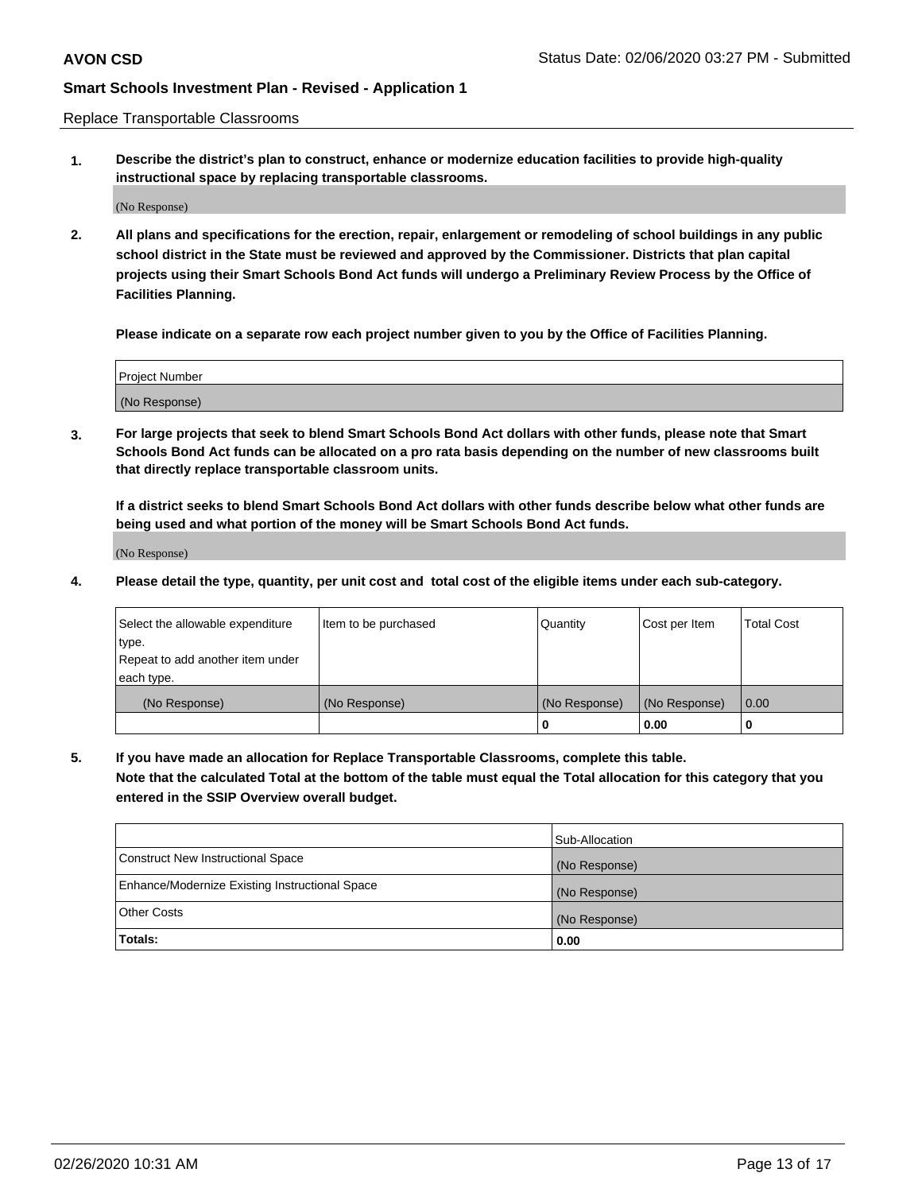Replace Transportable Classrooms

**1. Describe the district's plan to construct, enhance or modernize education facilities to provide high-quality instructional space by replacing transportable classrooms.**

(No Response)

**2. All plans and specifications for the erection, repair, enlargement or remodeling of school buildings in any public school district in the State must be reviewed and approved by the Commissioner. Districts that plan capital projects using their Smart Schools Bond Act funds will undergo a Preliminary Review Process by the Office of Facilities Planning.**

**Please indicate on a separate row each project number given to you by the Office of Facilities Planning.**

| Project Number |  |
|----------------|--|
|                |  |
|                |  |
|                |  |
| (No Response)  |  |
|                |  |
|                |  |

**3. For large projects that seek to blend Smart Schools Bond Act dollars with other funds, please note that Smart Schools Bond Act funds can be allocated on a pro rata basis depending on the number of new classrooms built that directly replace transportable classroom units.**

**If a district seeks to blend Smart Schools Bond Act dollars with other funds describe below what other funds are being used and what portion of the money will be Smart Schools Bond Act funds.**

(No Response)

**4. Please detail the type, quantity, per unit cost and total cost of the eligible items under each sub-category.**

| Select the allowable expenditure | Item to be purchased | Quantity      | Cost per Item | Total Cost |
|----------------------------------|----------------------|---------------|---------------|------------|
| ∣type.                           |                      |               |               |            |
| Repeat to add another item under |                      |               |               |            |
| each type.                       |                      |               |               |            |
| (No Response)                    | (No Response)        | (No Response) | (No Response) | 0.00       |
|                                  |                      | u             | 0.00          |            |

**5. If you have made an allocation for Replace Transportable Classrooms, complete this table. Note that the calculated Total at the bottom of the table must equal the Total allocation for this category that you entered in the SSIP Overview overall budget.**

|                                                | Sub-Allocation |
|------------------------------------------------|----------------|
| Construct New Instructional Space              | (No Response)  |
| Enhance/Modernize Existing Instructional Space | (No Response)  |
| Other Costs                                    | (No Response)  |
| Totals:                                        | 0.00           |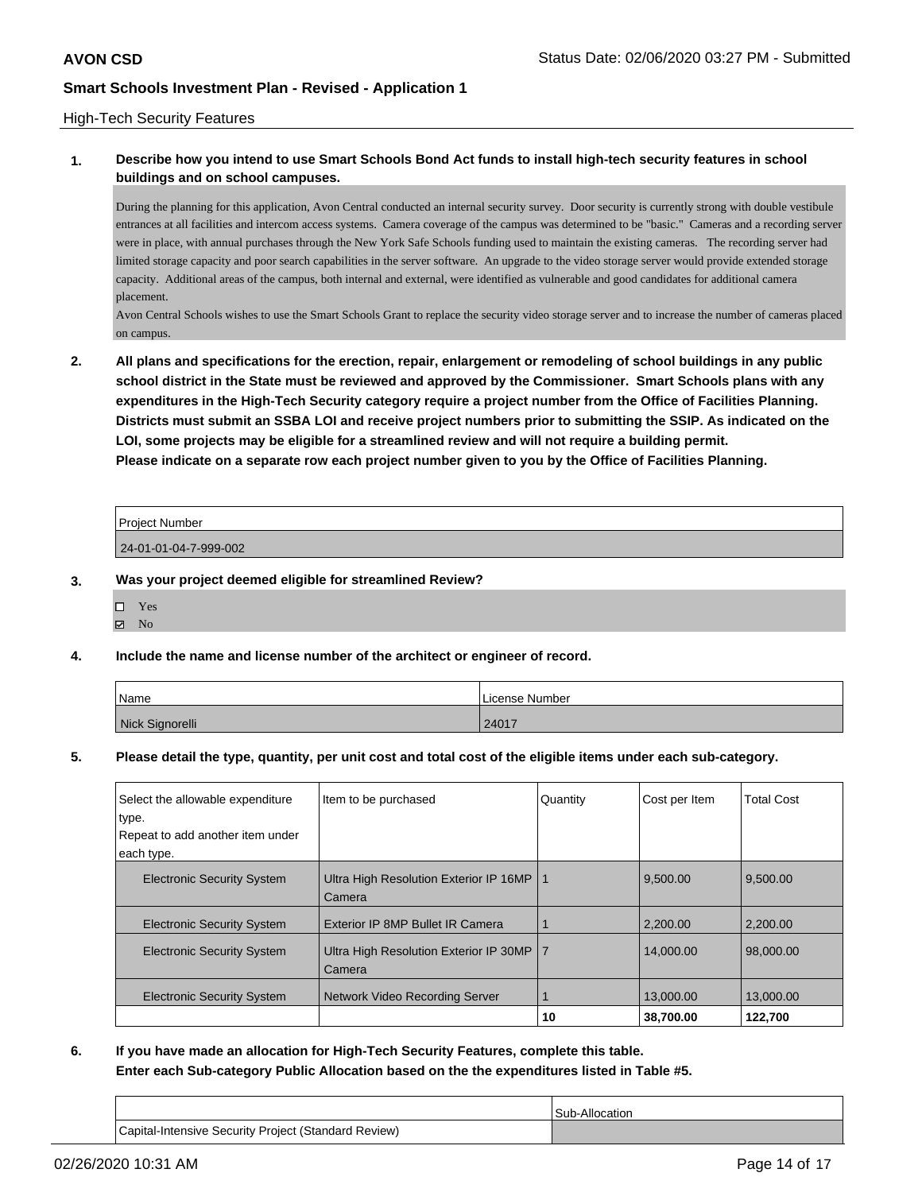#### High-Tech Security Features

## **1. Describe how you intend to use Smart Schools Bond Act funds to install high-tech security features in school buildings and on school campuses.**

During the planning for this application, Avon Central conducted an internal security survey. Door security is currently strong with double vestibule entrances at all facilities and intercom access systems. Camera coverage of the campus was determined to be "basic." Cameras and a recording server were in place, with annual purchases through the New York Safe Schools funding used to maintain the existing cameras. The recording server had limited storage capacity and poor search capabilities in the server software. An upgrade to the video storage server would provide extended storage capacity. Additional areas of the campus, both internal and external, were identified as vulnerable and good candidates for additional camera placement.

Avon Central Schools wishes to use the Smart Schools Grant to replace the security video storage server and to increase the number of cameras placed on campus.

**2. All plans and specifications for the erection, repair, enlargement or remodeling of school buildings in any public school district in the State must be reviewed and approved by the Commissioner. Smart Schools plans with any expenditures in the High-Tech Security category require a project number from the Office of Facilities Planning. Districts must submit an SSBA LOI and receive project numbers prior to submitting the SSIP. As indicated on the LOI, some projects may be eligible for a streamlined review and will not require a building permit. Please indicate on a separate row each project number given to you by the Office of Facilities Planning.**

| <b>Project Number</b> |  |
|-----------------------|--|
| 24-01-01-04-7-999-002 |  |

- **3. Was your project deemed eligible for streamlined Review?**
	- Yes **Z** No
- **4. Include the name and license number of the architect or engineer of record.**

| Name            | License Number |
|-----------------|----------------|
| Nick Signorelli | 24017          |

**5. Please detail the type, quantity, per unit cost and total cost of the eligible items under each sub-category.**

| Select the allowable expenditure  | Item to be purchased                                 | Quantity | Cost per Item | <b>Total Cost</b> |
|-----------------------------------|------------------------------------------------------|----------|---------------|-------------------|
| type.                             |                                                      |          |               |                   |
| Repeat to add another item under  |                                                      |          |               |                   |
| each type.                        |                                                      |          |               |                   |
| <b>Electronic Security System</b> | Ultra High Resolution Exterior IP 16MP   1<br>Camera |          | 9,500.00      | 9.500.00          |
| <b>Electronic Security System</b> | Exterior IP 8MP Bullet IR Camera                     |          | 2.200.00      | 2.200.00          |
| <b>Electronic Security System</b> | Ultra High Resolution Exterior IP 30MP<br>Camera     | ۱7       | 14.000.00     | 98,000,00         |
| <b>Electronic Security System</b> | Network Video Recording Server                       |          | 13,000,00     | 13,000.00         |
|                                   |                                                      | 10       | 38,700.00     | 122.700           |

**6. If you have made an allocation for High-Tech Security Features, complete this table. Enter each Sub-category Public Allocation based on the the expenditures listed in Table #5.**

Sub-Allocation Capital-Intensive Security Project (Standard Review)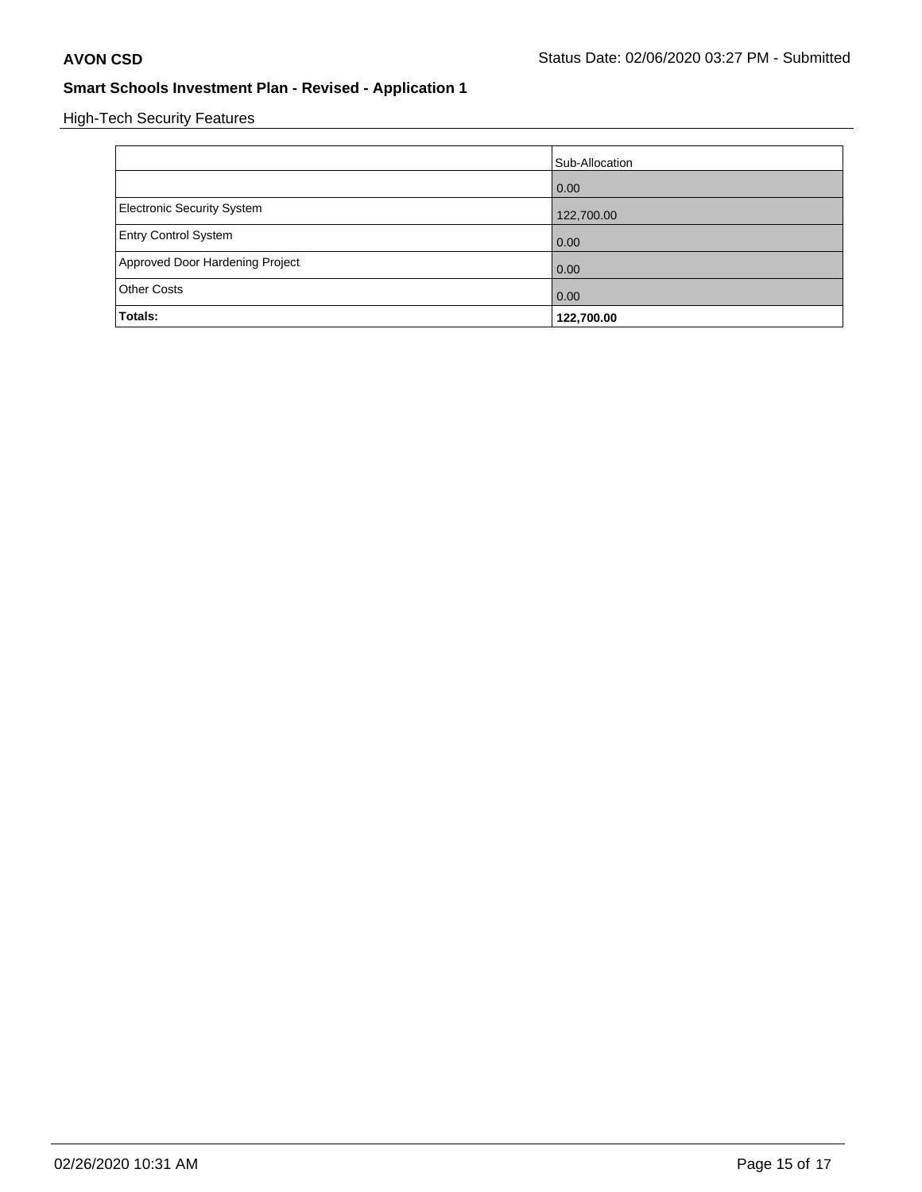High-Tech Security Features

|                                 | Sub-Allocation |
|---------------------------------|----------------|
|                                 | 0.00           |
| Electronic Security System      | 122,700.00     |
| <b>Entry Control System</b>     | 0.00           |
| Approved Door Hardening Project | 0.00           |
| <b>Other Costs</b>              | 0.00           |
| Totals:                         | 122,700.00     |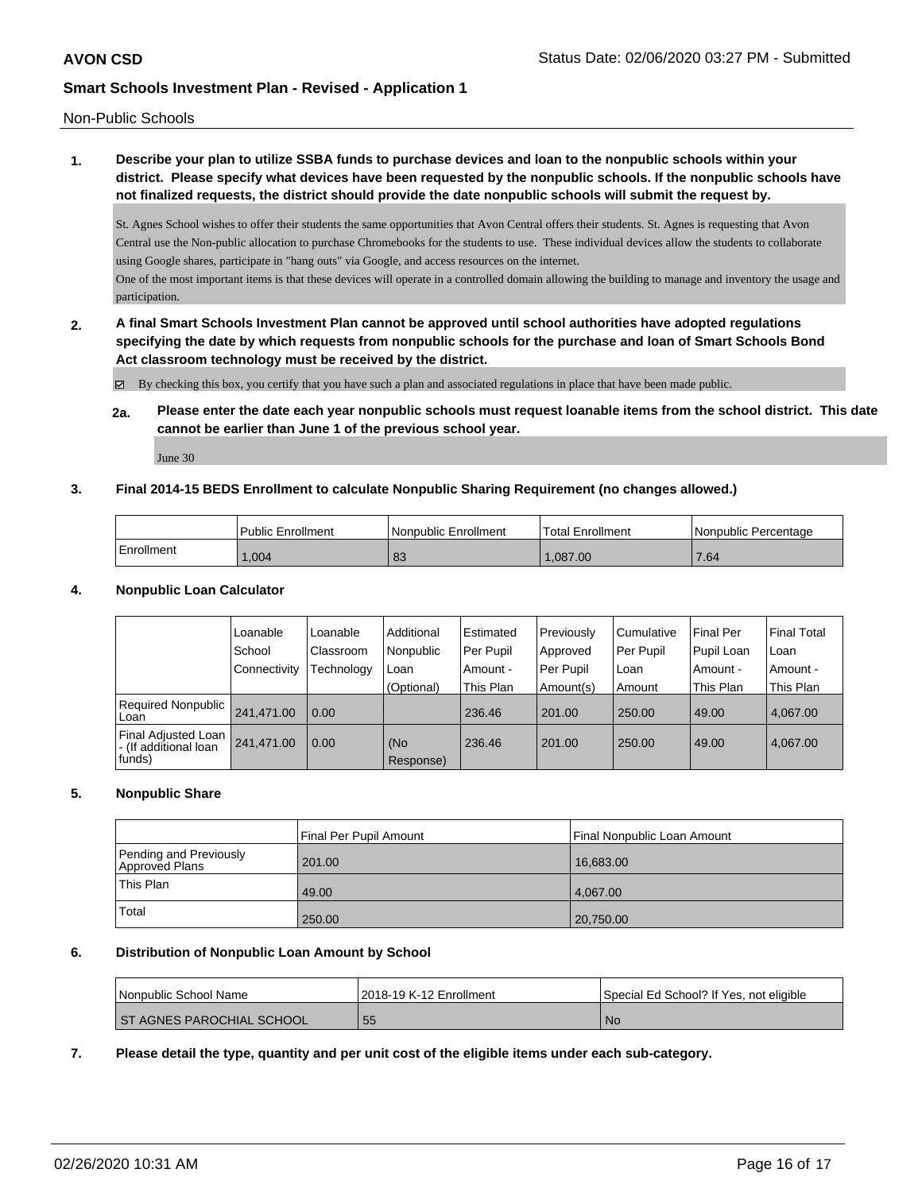Non-Public Schools

# **1. Describe your plan to utilize SSBA funds to purchase devices and loan to the nonpublic schools within your district. Please specify what devices have been requested by the nonpublic schools. If the nonpublic schools have not finalized requests, the district should provide the date nonpublic schools will submit the request by.**

St. Agnes School wishes to offer their students the same opportunities that Avon Central offers their students. St. Agnes is requesting that Avon Central use the Non-public allocation to purchase Chromebooks for the students to use. These individual devices allow the students to collaborate using Google shares, participate in "hang outs" via Google, and access resources on the internet.

One of the most important items is that these devices will operate in a controlled domain allowing the building to manage and inventory the usage and participation.

**2. A final Smart Schools Investment Plan cannot be approved until school authorities have adopted regulations specifying the date by which requests from nonpublic schools for the purchase and loan of Smart Schools Bond Act classroom technology must be received by the district.**

By checking this box, you certify that you have such a plan and associated regulations in place that have been made public.

**2a. Please enter the date each year nonpublic schools must request loanable items from the school district. This date cannot be earlier than June 1 of the previous school year.**

June 30

### **3. Final 2014-15 BEDS Enrollment to calculate Nonpublic Sharing Requirement (no changes allowed.)**

|            | Public Enrollment | Nonpublic Enrollment | Total Enrollment | Nonpublic Percentage |
|------------|-------------------|----------------------|------------------|----------------------|
| Enrollment | .004              | nn<br>റാ             | 1.087.00         | 7.64                 |

#### **4. Nonpublic Loan Calculator**

|                                                                 | Loanable       | Loanable   | Additional       | l Estimated | Previously | Cumulative | <b>Final Per</b> | <b>Final Total</b> |
|-----------------------------------------------------------------|----------------|------------|------------------|-------------|------------|------------|------------------|--------------------|
|                                                                 | School         | Classroom  | Nonpublic        | Per Pupil   | Approved   | Per Pupil  | Pupil Loan       | Loan               |
|                                                                 | l Connectivitv | Technology | Loan             | Amount -    | Per Pupil  | Loan       | Amount -         | Amount -           |
|                                                                 |                |            | (Optional)       | This Plan   | Amount(s)  | Amount     | This Plan        | This Plan          |
| Required Nonpublic  <br>l Loan                                  | 241.471.00     | 0.00       |                  | 236.46      | 201.00     | 250.00     | 49.00            | 4.067.00           |
| <b>Final Adjusted Loan</b><br>- (If additional loan<br>  funds) | 241.471.00     | 0.00       | (No<br>Response) | 236.46      | 201.00     | 250.00     | 49.00            | 4.067.00           |

#### **5. Nonpublic Share**

|                                          | Final Per Pupil Amount<br>Final Nonpublic Loan Amount |           |
|------------------------------------------|-------------------------------------------------------|-----------|
| Pending and Previously<br>Approved Plans | 201.00                                                | 16,683.00 |
| 'This Plan                               | 49.00                                                 | 4.067.00  |
| Total                                    | 250.00                                                | 20,750.00 |

### **6. Distribution of Nonpublic Loan Amount by School**

| l Nonpublic School Name          | 2018-19 K-12 Enrollment | Special Ed School? If Yes, not eligible |
|----------------------------------|-------------------------|-----------------------------------------|
| <b>ST AGNES PAROCHIAL SCHOOL</b> | 55                      | <b>No</b>                               |

**7. Please detail the type, quantity and per unit cost of the eligible items under each sub-category.**